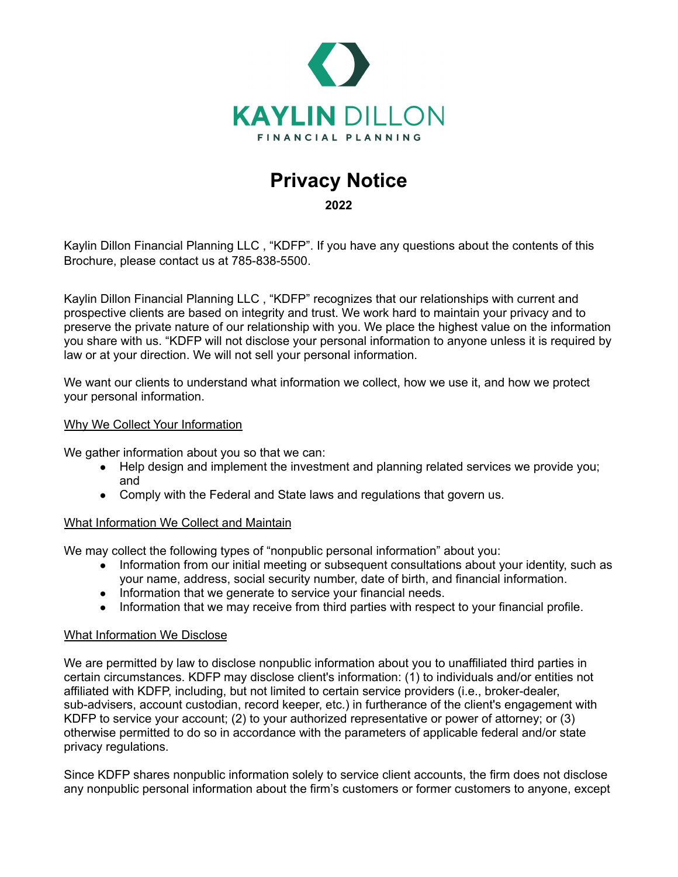

# **Privacy Notice**

**2022**

Kaylin Dillon Financial Planning LLC , "KDFP". If you have any questions about the contents of this Brochure, please contact us at 785-838-5500.

Kaylin Dillon Financial Planning LLC , "KDFP" recognizes that our relationships with current and prospective clients are based on integrity and trust. We work hard to maintain your privacy and to preserve the private nature of our relationship with you. We place the highest value on the information you share with us. "KDFP will not disclose your personal information to anyone unless it is required by law or at your direction. We will not sell your personal information.

We want our clients to understand what information we collect, how we use it, and how we protect your personal information.

## Why We Collect Your Information

We gather information about you so that we can:

- Help design and implement the investment and planning related services we provide you; and
- Comply with the Federal and State laws and regulations that govern us.

# What Information We Collect and Maintain

We may collect the following types of "nonpublic personal information" about you:

- Information from our initial meeting or subsequent consultations about your identity, such as your name, address, social security number, date of birth, and financial information.
- Information that we generate to service your financial needs.
- Information that we may receive from third parties with respect to your financial profile.

#### What Information We Disclose

We are permitted by law to disclose nonpublic information about you to unaffiliated third parties in certain circumstances. KDFP may disclose client's information: (1) to individuals and/or entities not affiliated with KDFP, including, but not limited to certain service providers (i.e., broker-dealer, sub-advisers, account custodian, record keeper, etc.) in furtherance of the client's engagement with KDFP to service your account; (2) to your authorized representative or power of attorney; or (3) otherwise permitted to do so in accordance with the parameters of applicable federal and/or state privacy regulations.

Since KDFP shares nonpublic information solely to service client accounts, the firm does not disclose any nonpublic personal information about the firm's customers or former customers to anyone, except